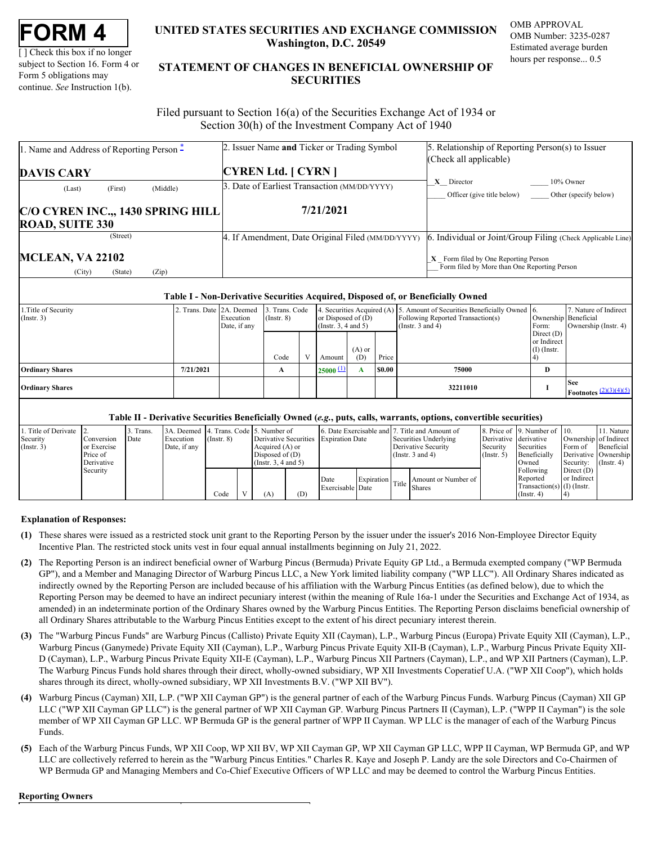| FORM |  |
|------|--|
|------|--|

[ ] Check this box if no longer subject to Section 16. Form 4 or Form 5 obligations may continue. *See* Instruction 1(b).

## **UNITED STATES SECURITIES AND EXCHANGE COMMISSION OMB APPROVAL Washington, D.C. 20549**

OMB Number: 3235-0287 Estimated average burden hours per response... 0.5

# **UNITED STATES SECURITIES AND EXCHANGE COMMISSION**<br>
UNITED STATES SECURITIES AND EXCHANGE COMMISSION<br>
UNERSITY OF SUBJECT AND THE STATEMENT OF CHANGES IN BENEFICIAL OWNERSHIP OF<br>
Form 5 obligations may<br>
continue. See Instr **STATEMENT OF CHANGES IN BENEFICIAL OWNERSHIP OF SECURITIES** TATES SECURITIES AND EXCHANGE COMMISSION OMB APPROVAL<br>Washington, D.C. 20549<br>Estimated average burden<br>ENT OF CHANGES IN BENEFICIAL OWNERSHIP OF<br>SECURITIES

 Filed pursuant to Section 16(a) of the Securities Exchange Act of 1934 or Section 30(h) of the Investment Company Act of 1940

| 1. Name and Address of Reporting Person $\ddot{\text{-}}$ | 2. Issuer Name and Ticker or Trading Symbol       | 5. Relationship of Reporting Person(s) to Issuer                                                |
|-----------------------------------------------------------|---------------------------------------------------|-------------------------------------------------------------------------------------------------|
|                                                           |                                                   | (Check all applicable)                                                                          |
| <b>DAVIS CARY</b>                                         | <b>CYREN Ltd.</b> [ CYRN ]                        |                                                                                                 |
| (Middle)<br>(First)<br>(Last)                             | 3. Date of Earliest Transaction (MM/DD/YYYY)      | $X$ Director<br>10% Owner                                                                       |
|                                                           |                                                   | Officer (give title below)<br>Other (specify below)                                             |
| C/O CYREN INC.,, 1430 SPRING HILL                         | 7/21/2021                                         |                                                                                                 |
| <b>ROAD, SUITE 330</b>                                    |                                                   |                                                                                                 |
| (Street)                                                  | 4. If Amendment, Date Original Filed (MM/DD/YYYY) | 6. Individual or Joint/Group Filing (Check Applicable Line)                                     |
| <b>MCLEAN, VA 22102</b>                                   |                                                   | $\mathbf{X}$ Form filed by One Reporting Person<br>Form filed by More than One Reporting Person |
| (Zip)<br>(City)<br>(State)                                |                                                   |                                                                                                 |

#### **Table I - Non-Derivative Securities Acquired, Disposed of, or Beneficially Owned**

| 1. Title of Security<br>$($ Instr. 3 $)$ | 2. Trans. Date 2A. Deemed | Execution<br>Date, if any | 3. Trans. Code<br>$($ Instr. $8)$ | or Disposed of $(D)$<br>$($ Instr. 3, 4 and 5 $)$ |                 |        | 4. Securities Acquired (A) 5. Amount of Securities Beneficially Owned 6.<br>Following Reported Transaction(s)<br>(Instr. 3 and 4) | Form:                                        | 7. Nature of Indirect<br>Ownership Beneficial<br>Ownership (Instr. 4) |
|------------------------------------------|---------------------------|---------------------------|-----------------------------------|---------------------------------------------------|-----------------|--------|-----------------------------------------------------------------------------------------------------------------------------------|----------------------------------------------|-----------------------------------------------------------------------|
|                                          |                           |                           | Code                              | Amount                                            | $(A)$ or<br>(D) | Price  |                                                                                                                                   | Direct $(D)$<br>or Indirect<br>$(I)$ (Instr. |                                                                       |
| <b>Ordinary Shares</b>                   | 7/21/2021                 |                           |                                   | $25000 \pm 1$                                     |                 | \$0.00 | 75000                                                                                                                             | D                                            |                                                                       |
| <b>Ordinary Shares</b>                   |                           |                           |                                   |                                                   |                 |        | 32211010                                                                                                                          |                                              | <b>See</b><br><b>Footnotes</b> $\frac{(2)(3)(4)(5)}{2}$               |

#### **Table II - Derivative Securities Beneficially Owned (***e.g.***, puts, calls, warrants, options, convertible securities)**

| 1. Title of Derivate 2. |             | Trans. | 3A. Deemed 4. Trans. Code 5. Number of |                 |                      |     |                                       |  | 6. Date Exercisable and 7. Title and Amount of |                       | 8. Price of 19. Number of 10. |                               | 11. Nature            |
|-------------------------|-------------|--------|----------------------------------------|-----------------|----------------------|-----|---------------------------------------|--|------------------------------------------------|-----------------------|-------------------------------|-------------------------------|-----------------------|
| Security                | Conversion  | Date   | Execution                              | $($ Instr. $8)$ |                      |     | Derivative Securities Expiration Date |  | Securities Underlying                          | Derivative derivative |                               |                               | Ownership of Indirect |
| (Insert. 3)             | or Exercise |        | Date, if any                           |                 | Acquired (A) or      |     |                                       |  | Derivative Security                            | Security              | Securities                    | Form of                       | Beneficial I          |
|                         | Price of    |        |                                        |                 | Disposed of $(D)$    |     |                                       |  | (Instr. $3$ and $4$ )                          | $($ Instr. 5 $)$      | Beneficially                  |                               | Derivative Ownership  |
|                         | Derivative  |        |                                        |                 | (Insert. 3, 4 and 5) |     |                                       |  |                                                |                       | Owned                         | Security: $(\text{Instr. 4})$ |                       |
|                         | Security    |        |                                        |                 |                      |     |                                       |  |                                                |                       | Following                     | Direct $(D)$                  |                       |
|                         |             |        |                                        |                 |                      |     | Date                                  |  | Amount or Number of<br>Expiration Title Shares |                       | Reported                      | or Indirect                   |                       |
|                         |             |        |                                        |                 |                      |     | Exercisable Date                      |  |                                                |                       | Transaction(s) $(I)$ (Instr.  |                               |                       |
|                         |             |        |                                        | Code            | A)                   | (D) |                                       |  |                                                |                       | $($ Instr. 4 $)$              |                               |                       |

### **Explanation of Responses:**

- <span id="page-0-0"></span>**(1)** These shares were issued as a restricted stock unit grant to the Reporting Person by the issuer under the issuer's 2016 Non-Employee Director Equity Incentive Plan. The restricted stock units vest in four equal annual installments beginning on July 21, 2022.
- <span id="page-0-1"></span>**(2)** The Reporting Person is an indirect beneficial owner of Warburg Pincus (Bermuda) Private Equity GP Ltd., a Bermuda exempted company ("WP Bermuda GP"), and a Member and Managing Director of Warburg Pincus LLC, a New York limited liability company ("WP LLC"). All Ordinary Shares indicated as indirectly owned by the Reporting Person are included because of his affiliation with the Warburg Pincus Entities (as defined below), due to which the Reporting Person may be deemed to have an indirect pecuniary interest (within the meaning of Rule 16a-1 under the Securities and Exchange Act of 1934, as amended) in an indeterminate portion of the Ordinary Shares owned by the Warburg Pincus Entities. The Reporting Person disclaims beneficial ownership of all Ordinary Shares attributable to the Warburg Pincus Entities except to the extent of his direct pecuniary interest therein.
- <span id="page-0-2"></span>**(3)** The "Warburg Pincus Funds" are Warburg Pincus (Callisto) Private Equity XII (Cayman), L.P., Warburg Pincus (Europa) Private Equity XII (Cayman), L.P., Warburg Pincus (Ganymede) Private Equity XII (Cayman), L.P., Warburg Pincus Private Equity XII-B (Cayman), L.P., Warburg Pincus Private Equity XII-D (Cayman), L.P., Warburg Pincus Private Equity XII-E (Cayman), L.P., Warburg Pincus XII Partners (Cayman), L.P., and WP XII Partners (Cayman), L.P. The Warburg Pincus Funds hold shares through their direct, wholly-owned subsidiary, WP XII Investments Coperatief U.A. ("WP XII Coop"), which holds shares through its direct, wholly-owned subsidiary, WP XII Investments B.V. ("WP XII BV").
- <span id="page-0-3"></span>**(4)** Warburg Pincus (Cayman) XII, L.P. ("WP XII Cayman GP") is the general partner of each of the Warburg Pincus Funds. Warburg Pincus (Cayman) XII GP LLC ("WP XII Cayman GP LLC") is the general partner of WP XII Cayman GP. Warburg Pincus Partners II (Cayman), L.P. ("WPP II Cayman") is the sole member of WP XII Cayman GP LLC. WP Bermuda GP is the general partner of WPP II Cayman. WP LLC is the manager of each of the Warburg Pincus Funds.
- <span id="page-0-4"></span>**(5)** Each of the Warburg Pincus Funds, WP XII Coop, WP XII BV, WP XII Cayman GP, WP XII Cayman GP LLC, WPP II Cayman, WP Bermuda GP, and WP LLC are collectively referred to herein as the "Warburg Pincus Entities." Charles R. Kaye and Joseph P. Landy are the sole Directors and Co-Chairmen of WP Bermuda GP and Managing Members and Co-Chief Executive Officers of WP LLC and may be deemed to control the Warburg Pincus Entities.